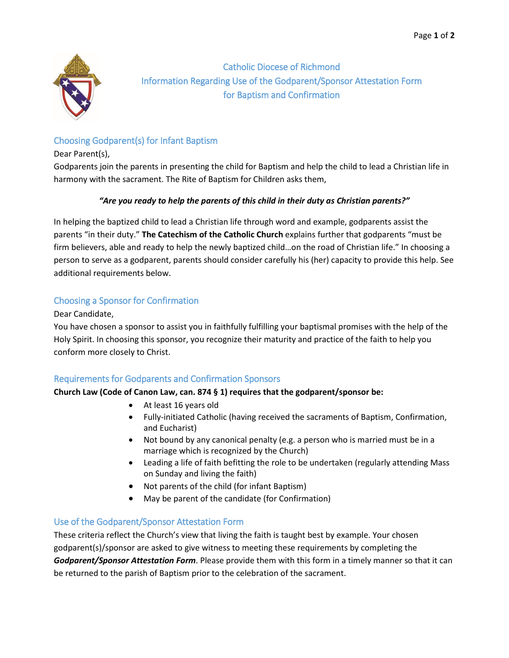

Catholic Diocese of Richmond Information Regarding Use of the Godparent/Sponsor Attestation Form for Baptism and Confirmation

# Choosing Godparent(s) for Infant Baptism

#### Dear Parent(s),

Godparents join the parents in presenting the child for Baptism and help the child to lead a Christian life in harmony with the sacrament. The Rite of Baptism for Children asks them,

## *"Are you ready to help the parents of this child in their duty as Christian parents?"*

In helping the baptized child to lead a Christian life through word and example, godparents assist the parents "in their duty." **The Catechism of the Catholic Church** explains further that godparents "must be firm believers, able and ready to help the newly baptized child…on the road of Christian life." In choosing a person to serve as a godparent, parents should consider carefully his (her) capacity to provide this help. See additional requirements below.

# Choosing a Sponsor for Confirmation

## Dear Candidate,

You have chosen a sponsor to assist you in faithfully fulfilling your baptismal promises with the help of the Holy Spirit. In choosing this sponsor, you recognize their maturity and practice of the faith to help you conform more closely to Christ.

# Requirements for Godparents and Confirmation Sponsors

## **Church Law (Code of Canon Law, can. 874 § 1) requires that the godparent/sponsor be:**

- At least 16 years old
- Fully-initiated Catholic (having received the sacraments of Baptism, Confirmation, and Eucharist)
- Not bound by any canonical penalty (e.g. a person who is married must be in a marriage which is recognized by the Church)
- Leading a life of faith befitting the role to be undertaken (regularly attending Mass on Sunday and living the faith)
- Not parents of the child (for infant Baptism)
- May be parent of the candidate (for Confirmation)

## Use of the Godparent/Sponsor Attestation Form

These criteria reflect the Church's view that living the faith is taught best by example. Your chosen godparent(s)/sponsor are asked to give witness to meeting these requirements by completing the *Godparent/Sponsor Attestation Form*. Please provide them with this form in a timely manner so that it can be returned to the parish of Baptism prior to the celebration of the sacrament.